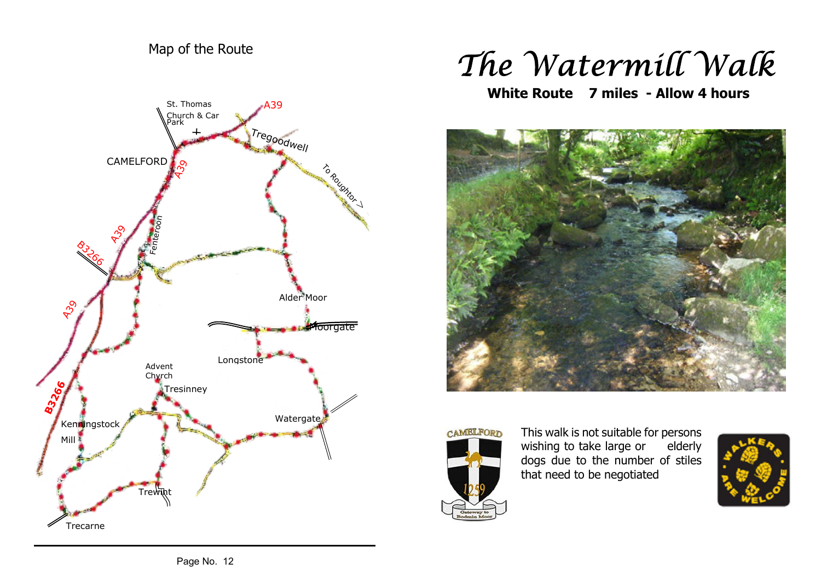## Map of the Route



## The Watermill Walk

**White Route 7 miles - Allow 4 hours**





This walk is not suitable for persons wishing to take large or elderly dogs due to the number of stiles that need to be negotiated

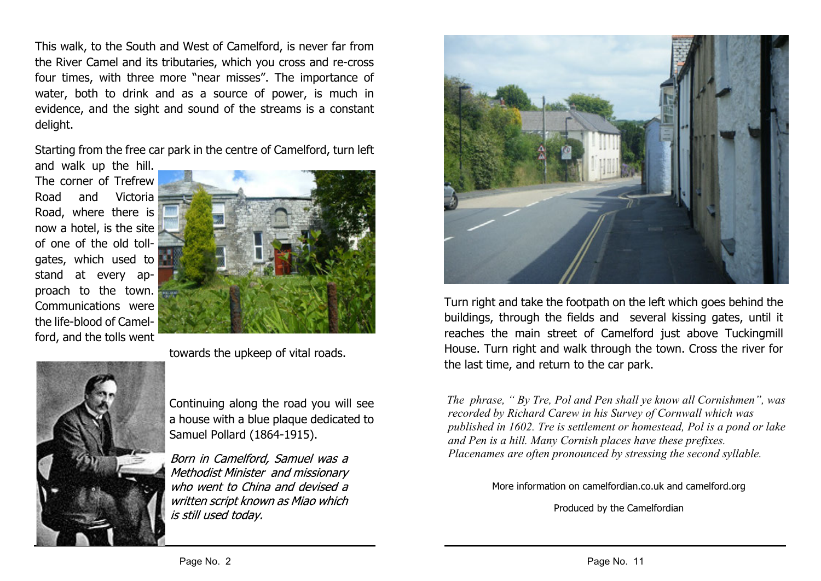This walk, to the South and West of Camelford, is never far from the River Camel and its tributaries, which you cross and re-cross four times, with three more "near misses". The importance of water, both to drink and as a source of power, is much in evidence, and the sight and sound of the streams is a constant delight.

Starting from the free car park in the centre of Camelford, turn left

and walk up the hill. The corner of Trefrew Road and Victoria Road, where there is now a hotel, is the site of one of the old tollgates, which used to stand at every approach to the town. Communications were the life-blood of Camelford, and the tolls went



towards the upkeep of vital roads.



Continuing along the road you will see a house with a blue plaque dedicated to Samuel Pollard (1864-1915).

Born in Camelford, Samuel was a Methodist Minister and missionary who went to China and devised a written script known as Miao which is still used today.



Turn right and take the footpath on the left which goes behind the buildings, through the fields and several kissing gates, until it reaches the main street of Camelford just above Tuckingmill House. Turn right and walk through the town. Cross the river for the last time, and return to the car park.

*The phrase, " By Tre, Pol and Pen shall ye know all Cornishmen", was recorded by Richard Carew in his Survey of Cornwall which was published in 1602. Tre is settlement or homestead, Pol is a pond or lake and Pen is a hill. Many Cornish places have these prefixes. Placenames are often pronounced by stressing the second syllable.*

More information on camelfordian.co.uk and camelford.org

Produced by the Camelfordian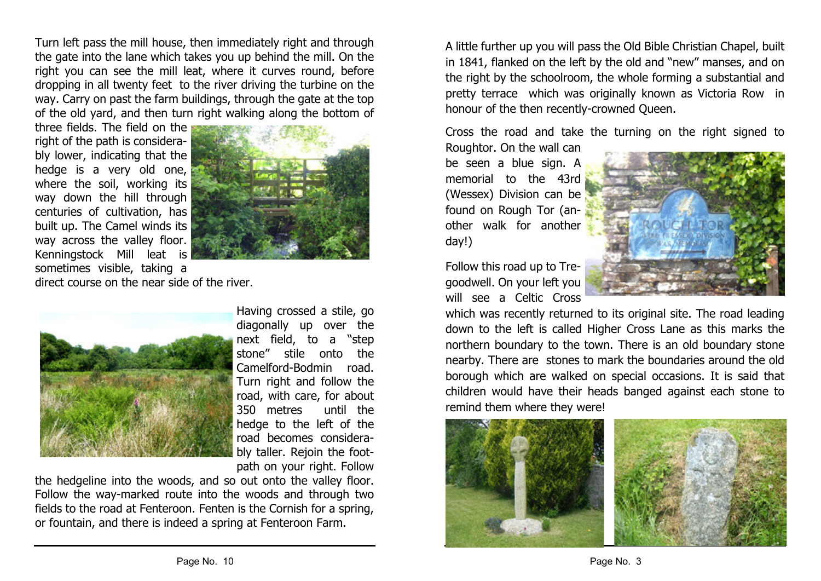Turn left pass the mill house, then immediately right and through the gate into the lane which takes you up behind the mill. On the right you can see the mill leat, where it curves round, before dropping in all twenty feet to the river driving the turbine on the way. Carry on past the farm buildings, through the gate at the top of the old yard, and then turn right walking along the bottom of

three fields. The field on the right of the path is considerably lower, indicating that the hedge is a very old one, where the soil, working its way down the hill through centuries of cultivation, has built up. The Camel winds its way across the valley floor. Kenningstock Mill leat is sometimes visible, taking a



direct course on the near side of the river.



Having crossed a stile, go diagonally up over the next field, to a "step stone" stile onto the Camelford-Bodmin road. Turn right and follow the road, with care, for about 350 metres until the hedge to the left of the road becomes considerably taller. Rejoin the footpath on your right. Follow

the hedgeline into the woods, and so out onto the valley floor. Follow the way-marked route into the woods and through two fields to the road at Fenteroon. Fenten is the Cornish for a spring, or fountain, and there is indeed a spring at Fenteroon Farm.

A little further up you will pass the Old Bible Christian Chapel, built in 1841, flanked on the left by the old and "new" manses, and on the right by the schoolroom, the whole forming a substantial and pretty terrace which was originally known as Victoria Row in honour of the then recently-crowned Queen.

Cross the road and take the turning on the right signed to

Roughtor. On the wall can be seen a blue sign. A memorial to the 43rd (Wessex) Division can be found on Rough Tor (another walk for another day!)

Follow this road up to Tregoodwell. On your left you will see a Celtic Cross



which was recently returned to its original site. The road leading down to the left is called Higher Cross Lane as this marks the northern boundary to the town. There is an old boundary stone nearby. There are stones to mark the boundaries around the old borough which are walked on special occasions. It is said that children would have their heads banged against each stone to remind them where they were!

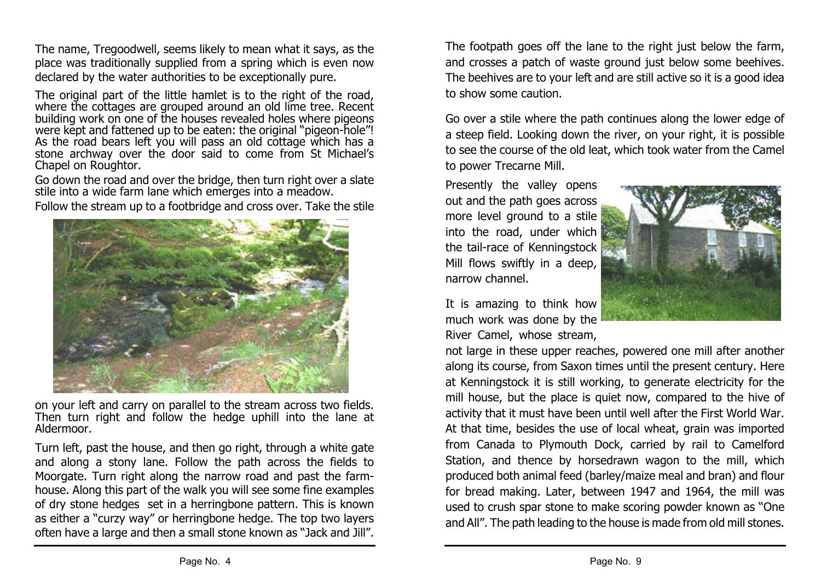The name, Tregoodwell, seems likely to mean what it says, as the place was traditionally supplied from a spring which is even now declared by the water authorities to be exceptionally pure.

The original part of the little hamlet is to the right of the road, where the cottages are grouped around an old lime tree. Recent building work on one of the houses revealed holes where pigeons were kept and fattened up to be eaten: the original "pigeon-hole"! As the road bears left you will pass an old cottage which has a stone archway over the door said to come from St Michael's Chapel on Roughtor.

Go down the road and over the bridge, then turn right over a slate stile into a wide farm lane which emerges into a meadow.

Follow the stream up to a footbridge and cross over. Take the stile



on your left and carry on parallel to the stream across two fields. Then turn right and follow the hedge uphill into the lane at Aldermoor.

Turn left, past the house, and then go right, through a white gate and along a stony lane. Follow the path across the fields to Moorgate. Turn right along the narrow road and past the farmhouse. Along this part of the walk you will see some fine examples of dry stone hedges set in a herringbone pattern. This is known as either a "curzy way" or herringbone hedge. The top two layers often have a large and then a small stone known as "Jack and Jill".

The footpath goes off the lane to the right just below the farm, and crosses a patch of waste ground just below some beehives. The beehives are to your left and are still active so it is a good idea to show some caution.

Go over a stile where the path continues along the lower edge of a steep field. Looking down the river, on your right, it is possible to see the course of the old leat, which took water from the Camel to power Trecarne Mill.

Presently the valley opens out and the path goes across more level ground to a stile into the road, under which the tail-race of Kenningstock Mill flows swiftly in a deep, narrow channel.

It is amazing to think how much work was done by the River Camel, whose stream,



not large in these upper reaches, powered one mill after another along its course, from Saxon times until the present century. Here at Kenningstock it is still working, to generate electricity for the mill house, but the place is quiet now, compared to the hive of activity that it must have been until well after the First World War. At that time, besides the use of local wheat, grain was imported from Canada to Plymouth Dock, carried by rail to Camelford Station, and thence by horsedrawn wagon to the mill, which produced both animal feed (barley/maize meal and bran) and flour for bread making. Later, between 1947 and 1964, the mill was used to crush spar stone to make scoring powder known as "One and All". The path leading to the house is made from old mill stones.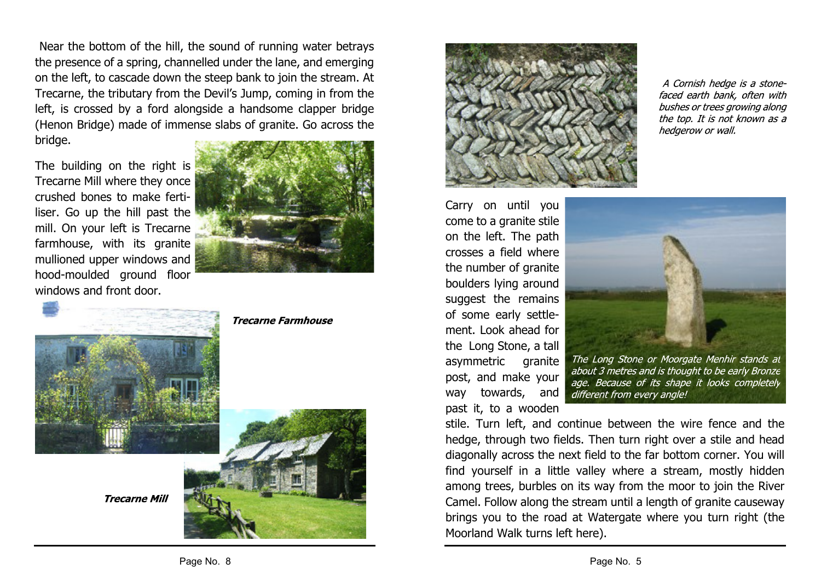Near the bottom of the hill, the sound of running water betrays the presence of a spring, channelled under the lane, and emerging on the left, to cascade down the steep bank to join the stream. At Trecarne, the tributary from the Devil's Jump, coming in from the left, is crossed by a ford alongside a handsome clapper bridge (Henon Bridge) made of immense slabs of granite. Go across the bridge.

The building on the right is Trecarne Mill where they once crushed bones to make fertiliser. Go up the hill past the mill. On your left is Trecarne farmhouse, with its granite mullioned upper windows and hood-moulded ground floor windows and front door.



## **Trecarne Farmhouse**







Carry on until you come to a granite stile on the left. The path crosses a field where the number of granite boulders lying around suggest the remains of some early settlement. Look ahead for the Long Stone, a tall asymmetric granite post, and make your way towards, and past it, to a wooden

A Cornish hedge is a stonefaced earth bank, often with bushes or trees growing along the top. It is not known as a

hedgerow or wall.

The Long Stone or Moorgate Menhir stands at about 3 metres and is thought to be early Bronze age. Because of its shape it looks completely different from every angle!

stile. Turn left, and continue between the wire fence and the hedge, through two fields. Then turn right over a stile and head diagonally across the next field to the far bottom corner. You will find yourself in a little valley where a stream, mostly hidden among trees, burbles on its way from the moor to join the River Camel. Follow along the stream until a length of granite causeway brings you to the road at Watergate where you turn right (the Moorland Walk turns left here).